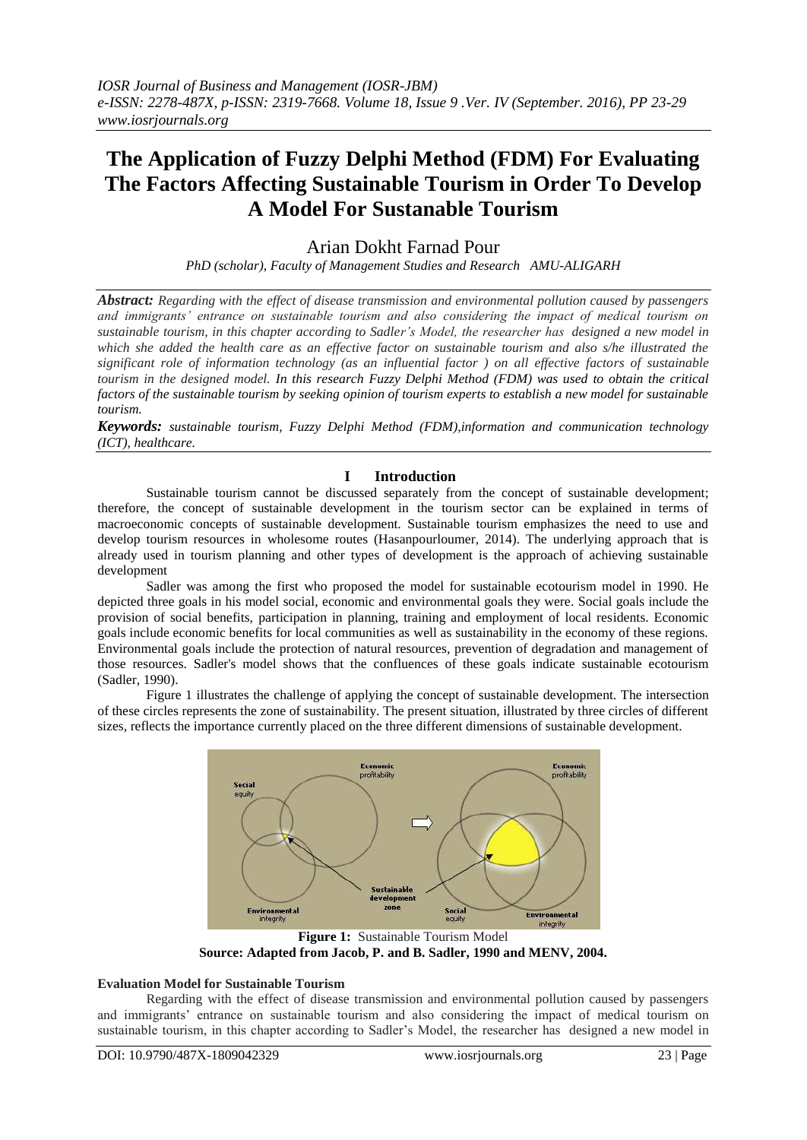# **The Application of Fuzzy Delphi Method (FDM) For Evaluating The Factors Affecting Sustainable Tourism in Order To Develop A Model For Sustanable Tourism**

# Arian Dokht Farnad Pour

*PhD (scholar), Faculty of Management Studies and Research AMU-ALIGARH*

*Abstract: Regarding with the effect of disease transmission and environmental pollution caused by passengers and immigrants' entrance on sustainable tourism and also considering the impact of medical tourism on sustainable tourism, in this chapter according to Sadler's Model, the researcher has designed a new model in which she added the health care as an effective factor on sustainable tourism and also s/he illustrated the significant role of information technology (as an influential factor ) on all effective factors of sustainable tourism in the designed model. In this research Fuzzy Delphi Method (FDM) was used to obtain the critical factors of the sustainable tourism by seeking opinion of tourism experts to establish a new model for sustainable tourism.* 

*Keywords: sustainable tourism, Fuzzy Delphi Method (FDM),information and communication technology (ICT), healthcare.* 

# **I Introduction**

Sustainable tourism cannot be discussed separately from the concept of sustainable development; therefore, the concept of sustainable development in the tourism sector can be explained in terms of macroeconomic concepts of sustainable development. Sustainable tourism emphasizes the need to use and develop tourism resources in wholesome routes (Hasanpourloumer, 2014). The underlying approach that is already used in tourism planning and other types of development is the approach of achieving sustainable development

Sadler was among the first who proposed the model for sustainable ecotourism model in 1990. He depicted three goals in his model social, economic and environmental goals they were. Social goals include the provision of social benefits, participation in planning, training and employment of local residents. Economic goals include economic benefits for local communities as well as sustainability in the economy of these regions. Environmental goals include the protection of natural resources, prevention of degradation and management of those resources. Sadler's model shows that the confluences of these goals indicate sustainable ecotourism (Sadler, 1990).

Figure 1 illustrates the challenge of applying the concept of sustainable development. The intersection of these circles represents the zone of sustainability. The present situation, illustrated by three circles of different sizes, reflects the importance currently placed on the three different dimensions of sustainable development.



**Figure 1:** Sustainable Tourism Model **Source: Adapted from Jacob, P. and B. Sadler, 1990 and MENV, 2004.**

#### **Evaluation Model for Sustainable Tourism**

Regarding with the effect of disease transmission and environmental pollution caused by passengers and immigrants' entrance on sustainable tourism and also considering the impact of medical tourism on sustainable tourism, in this chapter according to Sadler's Model, the researcher has designed a new model in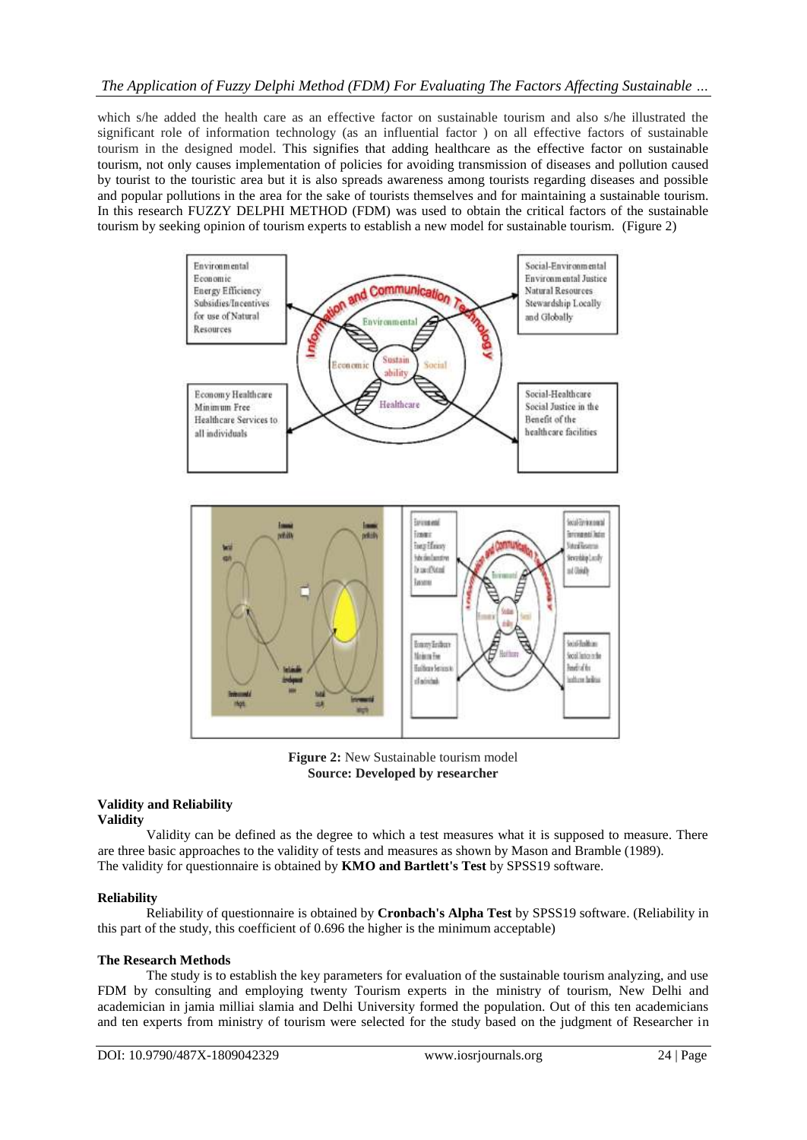which s/he added the health care as an effective factor on sustainable tourism and also s/he illustrated the significant role of information technology (as an influential factor ) on all effective factors of sustainable tourism in the designed model. This signifies that adding healthcare as the effective factor on sustainable tourism, not only causes implementation of policies for avoiding transmission of diseases and pollution caused by tourist to the touristic area but it is also spreads awareness among tourists regarding diseases and possible and popular pollutions in the area for the sake of tourists themselves and for maintaining a sustainable tourism. In this research FUZZY DELPHI METHOD (FDM) was used to obtain the critical factors of the sustainable tourism by seeking opinion of tourism experts to establish a new model for sustainable tourism. (Figure 2)



**Figure 2:** New Sustainable tourism model **Source: Developed by researcher**

#### **Validity and Reliability Validity**

Validity can be defined as the degree to which a test measures what it is supposed to measure. There are three basic approaches to the validity of tests and measures as shown by Mason and Bramble (1989). The validity for questionnaire is obtained by **KMO and Bartlett's Test** by SPSS19 software.

# **Reliability**

Reliability of questionnaire is obtained by **Cronbach's Alpha Test** by SPSS19 software. (Reliability in this part of the study, this coefficient of 0.696 the higher is the minimum acceptable)

#### **The Research Methods**

The study is to establish the key parameters for evaluation of the sustainable tourism analyzing, and use FDM by consulting and employing twenty Tourism experts in the ministry of tourism, New Delhi and academician in jamia milliai slamia and Delhi University formed the population. Out of this ten academicians and ten experts from ministry of tourism were selected for the study based on the judgment of Researcher in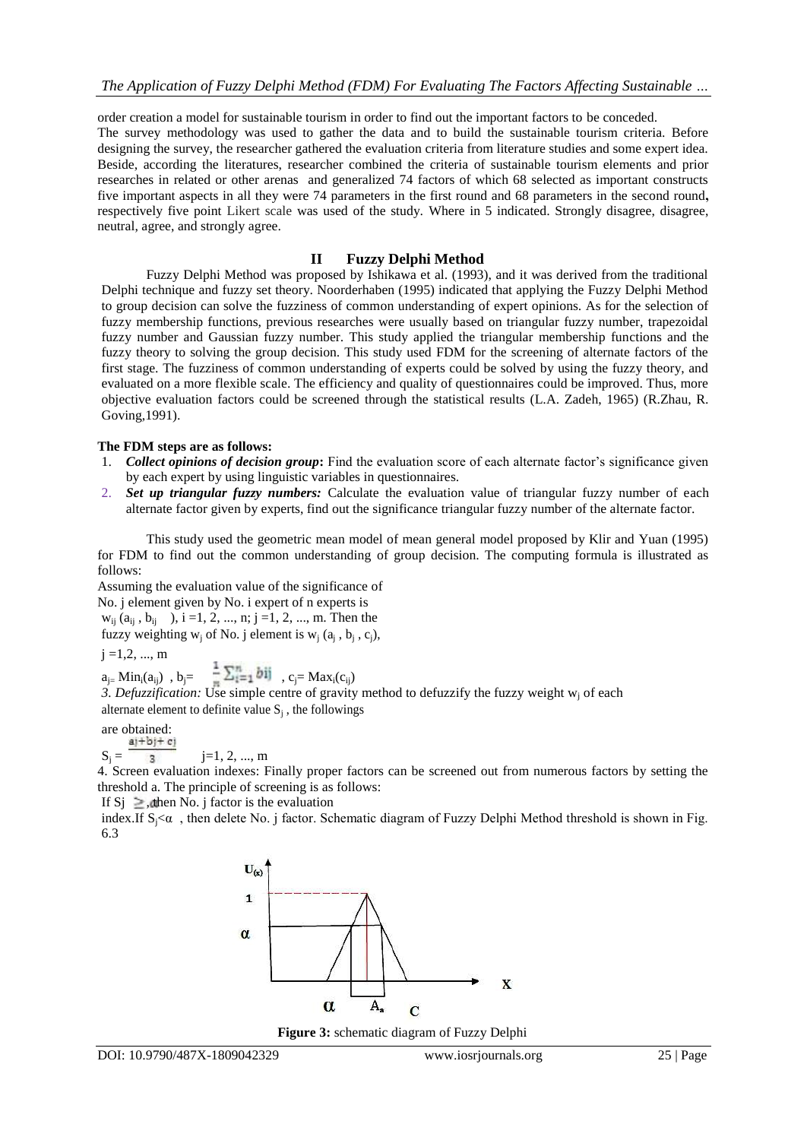order creation a model for sustainable tourism in order to find out the important factors to be conceded.

The survey methodology was used to gather the data and to build the sustainable tourism criteria. Before designing the survey, the researcher gathered the evaluation criteria from literature studies and some expert idea. Beside, according the literatures, researcher combined the criteria of sustainable tourism elements and prior researches in related or other arenas and generalized 74 factors of which 68 selected as important constructs five important aspects in all they were 74 parameters in the first round and 68 parameters in the second round**,** respectively five point Likert scale was used of the study. Where in 5 indicated. Strongly disagree, disagree, neutral, agree, and strongly agree.

# **II Fuzzy Delphi Method**

Fuzzy Delphi Method was proposed by Ishikawa et al. (1993), and it was derived from the traditional Delphi technique and fuzzy set theory. Noorderhaben (1995) indicated that applying the Fuzzy Delphi Method to group decision can solve the fuzziness of common understanding of expert opinions. As for the selection of fuzzy membership functions, previous researches were usually based on triangular fuzzy number, trapezoidal fuzzy number and Gaussian fuzzy number. This study applied the triangular membership functions and the fuzzy theory to solving the group decision. This study used FDM for the screening of alternate factors of the first stage. The fuzziness of common understanding of experts could be solved by using the fuzzy theory, and evaluated on a more flexible scale. The efficiency and quality of questionnaires could be improved. Thus, more objective evaluation factors could be screened through the statistical results (L.A. Zadeh, 1965) (R.Zhau, R. Goving,1991).

#### **The FDM steps are as follows:**

- 1. *Collect opinions of decision group***:** Find the evaluation score of each alternate factor's significance given by each expert by using linguistic variables in questionnaires.
- 2. *Set up triangular fuzzy numbers:* Calculate the evaluation value of triangular fuzzy number of each alternate factor given by experts, find out the significance triangular fuzzy number of the alternate factor.

This study used the geometric mean model of mean general model proposed by Klir and Yuan (1995) for FDM to find out the common understanding of group decision. The computing formula is illustrated as follows:

Assuming the evaluation value of the significance of No. j element given by No. i expert of n experts is

 $w_{ii}$  ( $a_{ii}$ ,  $b_{ii}$ ),  $i = 1, 2, ..., n$ ;  $j = 1, 2, ..., m$ . Then the fuzzy weighting  $w_j$  of No. j element is  $w_j$   $(a_j, b_j, c_j)$ ,

 $i = 1, 2, ..., m$ 

 $a_{j} = Min_i(a_{ij})$ ,  $b_j = \frac{1}{2} \sum_{i=1}^{n} 01$ ,  $c_j = Max_i(c_{ij})$ 

3. Defuzzification: Use simple centre of gravity method to defuzzify the fuzzy weight w<sub>j</sub> of each alternate element to definite value  $S_j$ , the followings

are obtained:<br> $a j + b j + c j$ 

 $S_i = \frac{1}{3}$  j=1, 2, ..., m

4. Screen evaluation indexes: Finally proper factors can be screened out from numerous factors by setting the threshold a. The principle of screening is as follows:

If Sj  $\geq$ , then No. j factor is the evaluation

index.If  $S_i < \alpha$ , then delete No. j factor. Schematic diagram of Fuzzy Delphi Method threshold is shown in Fig. 6.3



**Figure 3:** schematic diagram of Fuzzy Delphi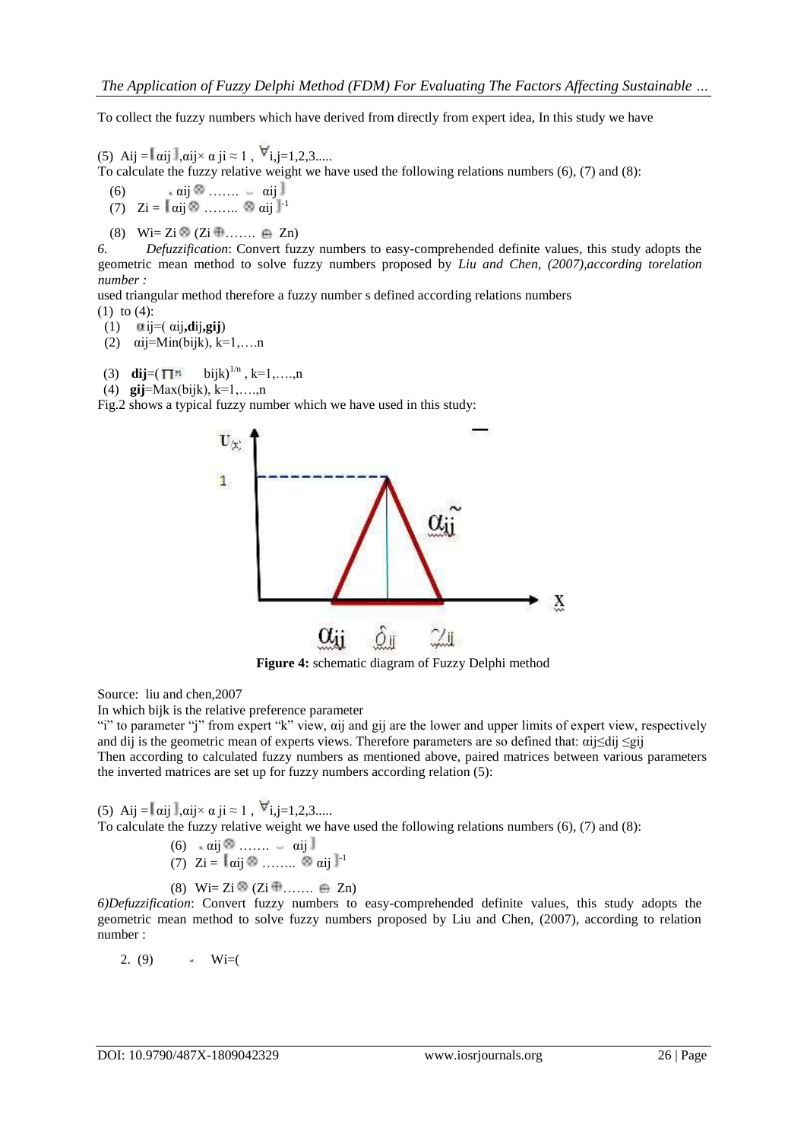To collect the fuzzy numbers which have derived from directly from expert idea, In this study we have

(5) Aij =  $\alpha$ ij  $\alpha$ ij× $\alpha$  ji ≈ 1,  $\nabla$ i,j=1,2,3.....

To calculate the fuzzy relative weight we have used the following relations numbers (6), (7) and (8):

```
(6) \alpha i j \otimes \ldots \otimes \alpha i j
```
- (7)  $Z_i = I_{\alpha i j} \otimes \ldots \otimes \alpha_{i j} I^{-1}$
- (8) Wi= Zi  $\otimes$  (Zi  $\oplus$  ......  $\oplus$  Zn)

*6. Defuzzification*: Convert fuzzy numbers to easy-comprehended definite values, this study adopts the geometric mean method to solve fuzzy numbers proposed by *Liu and Chen, (2007),according torelation number :*

used triangular method therefore a fuzzy number s defined according relations numbers (1) to (4):

- (1)  $\alpha$ ij=( $\alpha$ ij**,dij,gij**)
- (2)  $\alpha$ ij=Min(bijk), k=1,....n
- (3) **dij**=( $\overline{\mathbf{T}}^{n}$  bijk)<sup>1/n</sup>, k=1,....,n
- (4) **gij**=Max(bijk), k=1,….,n

Fig.2 shows a typical fuzzy number which we have used in this study:



**Figure 4:** schematic diagram of Fuzzy Delphi method

Source: liu and chen,2007

In which bijk is the relative preference parameter

"i" to parameter "j" from expert "k" view, αij and gij are the lower and upper limits of expert view, respectively and dij is the geometric mean of experts views. Therefore parameters are so defined that:  $\alpha i$ j $\leq$ dij  $\leq$ gij Then according to calculated fuzzy numbers as mentioned above, paired matrices between various parameters the inverted matrices are set up for fuzzy numbers according relation (5):

(5) Aij =  $\alpha$ ij  $\alpha$ ij× $\alpha$  ji ≈ 1,  $\nabla$ i,j=1,2,3..... To calculate the fuzzy relative weight we have used the following relations numbers (6), (7) and (8):

> (6) αij ……. αij (7)  $\mathbb{Z}$ i =  $\mathbb{I}$   $\alpha$ ij  $\otimes$  ........  $\otimes$   $\alpha$ ij  $\mathbb{I}$ <sup>-1</sup>

(8) Wi= Zi  $\otimes$  (Zi  $\oplus$  ......  $\oplus$  Zn)

*6)Defuzzification*: Convert fuzzy numbers to easy-comprehended definite values, this study adopts the geometric mean method to solve fuzzy numbers proposed by Liu and Chen, (2007), according to relation number :

2. (9)  $\qquad \qquad \bullet \quad \text{Wi=}($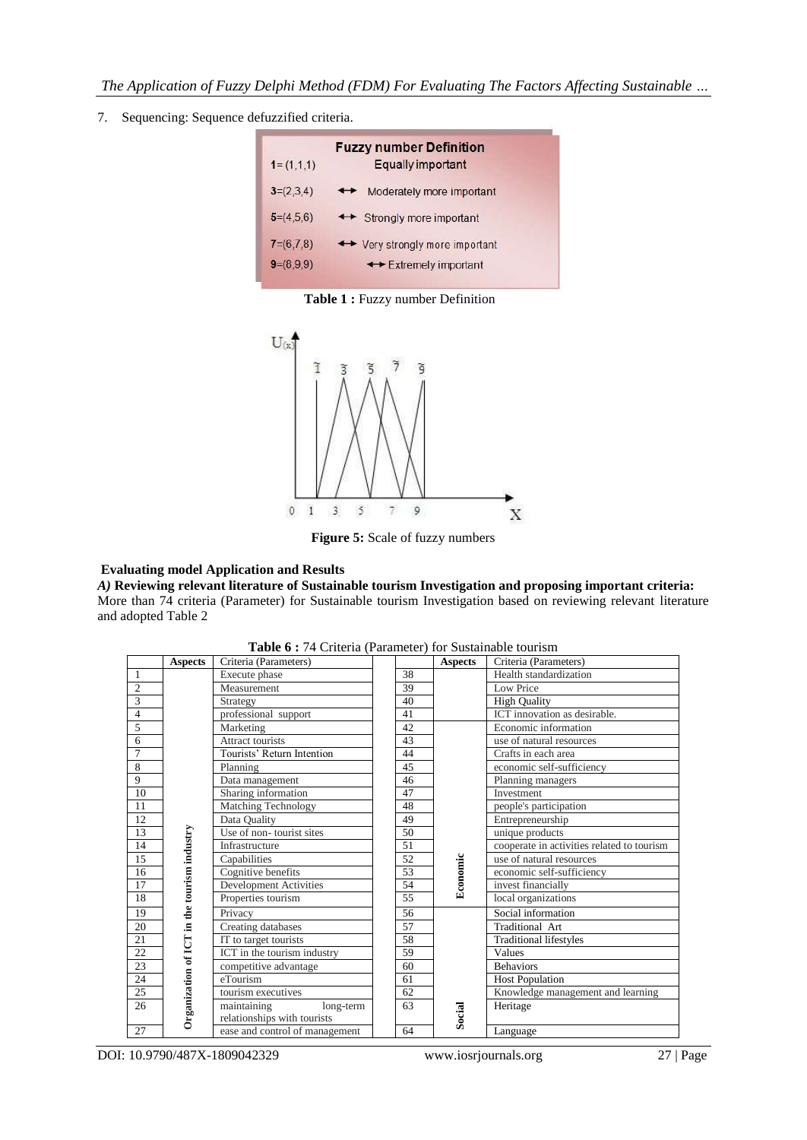7. Sequencing: Sequence defuzzified criteria.

| $1 = (1,1,1)$ | <b>Fuzzy number Definition</b><br><b>Equally important</b> |
|---------------|------------------------------------------------------------|
| $3=(2,3,4)$   | Moderately more important<br>$\leftrightarrow$             |
| $5=(4,5,6)$   | ← Strongly more important                                  |
| $7=(6,7,8)$   | ← Very strongly more important                             |
| $9=(8.9.9)$   | ← Extremely important                                      |

**Table 1 :** Fuzzy number Definition



**Figure 5:** Scale of fuzzy numbers

# **Evaluating model Application and Results**

*A)* **Reviewing relevant literature of Sustainable tourism Investigation and proposing important criteria:** More than 74 criteria (Parameter) for Sustainable tourism Investigation based on reviewing relevant literature and adopted Table 2

| <b>rapie 0 .</b> 74 CHRCHa (1 aramcter) for Bustaniable tourism |                                             |                                |  |                 |                |                                            |  |  |
|-----------------------------------------------------------------|---------------------------------------------|--------------------------------|--|-----------------|----------------|--------------------------------------------|--|--|
|                                                                 | <b>Aspects</b>                              | Criteria (Parameters)          |  |                 | <b>Aspects</b> | Criteria (Parameters)                      |  |  |
| -1                                                              |                                             | Execute phase                  |  | 38              |                | Health standardization                     |  |  |
| $\overline{2}$                                                  |                                             | Measurement                    |  | 39              |                | Low Price                                  |  |  |
| 3                                                               |                                             | Strategy                       |  | 40              |                | <b>High Quality</b>                        |  |  |
| $\overline{4}$                                                  |                                             | professional support           |  | 41              |                | ICT innovation as desirable.               |  |  |
| 5                                                               |                                             | Marketing                      |  | 42              |                | Economic information                       |  |  |
| 6                                                               |                                             | Attract tourists               |  | 43              |                | use of natural resources                   |  |  |
| $\overline{7}$                                                  |                                             | Tourists' Return Intention     |  | 44              |                | Crafts in each area                        |  |  |
| 8                                                               |                                             | Planning                       |  | 45              |                | economic self-sufficiency                  |  |  |
| 9                                                               |                                             | Data management                |  | 46              |                | Planning managers                          |  |  |
| 10                                                              |                                             | Sharing information            |  | 47              |                | Investment                                 |  |  |
| 11                                                              |                                             | Matching Technology            |  | 48              |                | people's participation                     |  |  |
| 12                                                              |                                             | Data Quality                   |  | 49              |                | Entrepreneurship                           |  |  |
| 13                                                              |                                             | Use of non-tourist sites       |  | 50              |                | unique products                            |  |  |
| 14                                                              |                                             | Infrastructure                 |  | 51              |                | cooperate in activities related to tourism |  |  |
| 15                                                              |                                             | Capabilities                   |  | 52              |                | use of natural resources                   |  |  |
| 16                                                              |                                             | Cognitive benefits             |  | 53              | Economic       | economic self-sufficiency                  |  |  |
| 17                                                              |                                             | Development Activities         |  | 54              |                | invest financially                         |  |  |
| 18                                                              | Organization of ICT in the tourism industry | Properties tourism             |  | $\overline{55}$ |                | local organizations                        |  |  |
| 19                                                              |                                             | Privacy                        |  | 56              |                | Social information                         |  |  |
| 20                                                              |                                             | Creating databases             |  | 57              |                | Traditional Art                            |  |  |
| 21                                                              |                                             | IT to target tourists          |  | 58              |                | <b>Traditional lifestyles</b>              |  |  |
| 22                                                              |                                             | ICT in the tourism industry    |  | 59              |                | <b>Values</b>                              |  |  |
| 23                                                              |                                             | competitive advantage          |  | 60              |                | <b>Behaviors</b>                           |  |  |
| 24                                                              |                                             | eTourism                       |  | 61              |                | <b>Host Population</b>                     |  |  |
| 25                                                              |                                             | tourism executives             |  | 62              |                | Knowledge management and learning          |  |  |
| 26                                                              |                                             | maintaining<br>long-term       |  | 63              |                | Heritage                                   |  |  |
|                                                                 |                                             | relationships with tourists    |  |                 | Social         |                                            |  |  |
| 27                                                              |                                             | ease and control of management |  | 64              |                | Language                                   |  |  |

**Table 6 :** 74 Criteria (Parameter) for Sustainable tourism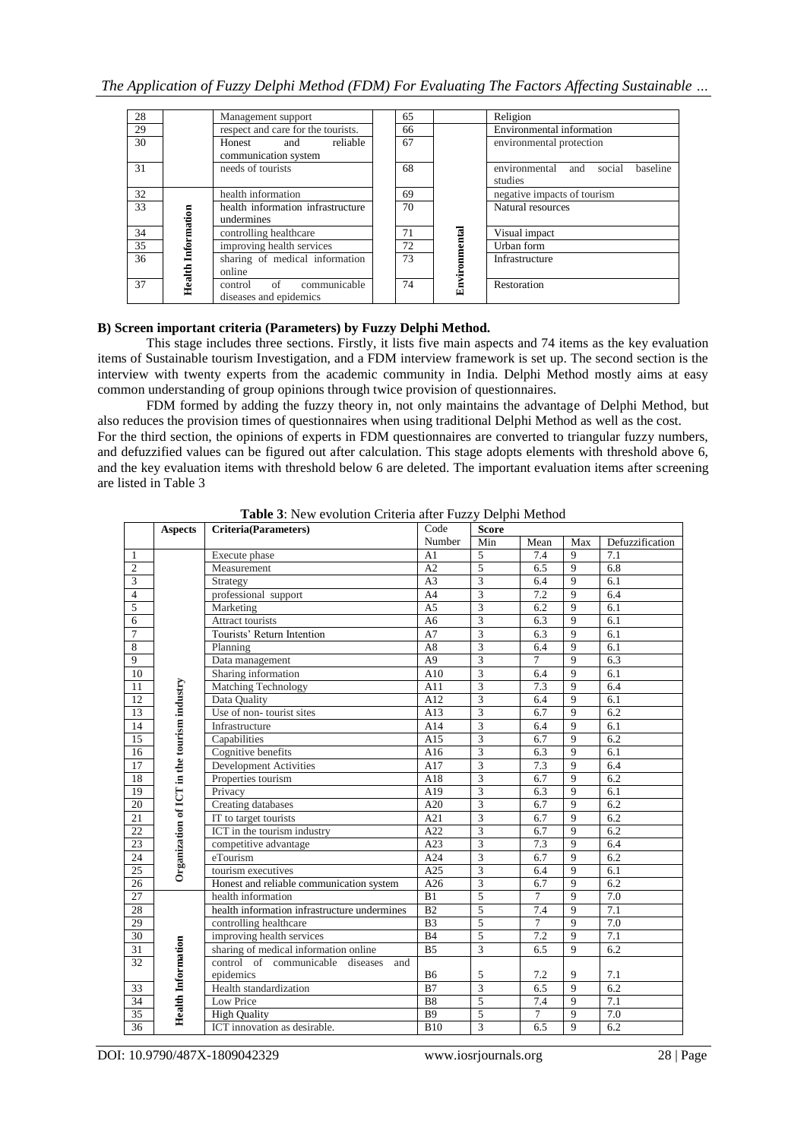# *The Application of Fuzzy Delphi Method (FDM) For Evaluating The Factors Affecting Sustainable …*

| 28              |             | Management support                                   | 65 |               | Religion                                              |  |  |  |  |  |
|-----------------|-------------|------------------------------------------------------|----|---------------|-------------------------------------------------------|--|--|--|--|--|
| 29              |             | respect and care for the tourists.                   | 66 |               | Environmental information                             |  |  |  |  |  |
| 30              |             | reliable<br>Honest<br>and<br>communication system    | 67 |               | environmental protection                              |  |  |  |  |  |
| 31              |             | needs of tourists                                    | 68 |               | environmental<br>baseline<br>social<br>and<br>studies |  |  |  |  |  |
| 32              |             | health information                                   | 69 |               | negative impacts of tourism                           |  |  |  |  |  |
| 33              | Information | health information infrastructure<br>undermines      | 70 |               | Natural resources                                     |  |  |  |  |  |
| 34              |             | controlling healthcare                               | 71 |               | Visual impact                                         |  |  |  |  |  |
| $\overline{35}$ |             | improving health services                            | 72 |               | Urban form                                            |  |  |  |  |  |
| 36              |             | sharing of medical information<br>online             | 73 | Environmental | Infrastructure                                        |  |  |  |  |  |
| 37              | Health      | communicable<br>control of<br>diseases and epidemics | 74 |               | Restoration                                           |  |  |  |  |  |

# **B) Screen important criteria (Parameters) by Fuzzy Delphi Method.**

This stage includes three sections. Firstly, it lists five main aspects and 74 items as the key evaluation items of Sustainable tourism Investigation, and a FDM interview framework is set up. The second section is the interview with twenty experts from the academic community in India. Delphi Method mostly aims at easy common understanding of group opinions through twice provision of questionnaires.

FDM formed by adding the fuzzy theory in, not only maintains the advantage of Delphi Method, but also reduces the provision times of questionnaires when using traditional Delphi Method as well as the cost. For the third section, the opinions of experts in FDM questionnaires are converted to triangular fuzzy numbers, and defuzzified values can be figured out after calculation. This stage adopts elements with threshold above 6, and the key evaluation items with threshold below 6 are deleted. The important evaluation items after screening are listed in Table 3

|                | <b>Aspects</b>                              | <b>Criteria(Parameters)</b>                  | Code            | <b>Score</b>            |                |                |                  |  |
|----------------|---------------------------------------------|----------------------------------------------|-----------------|-------------------------|----------------|----------------|------------------|--|
|                |                                             |                                              | Number          | Min                     | Mean           | Max            | Defuzzification  |  |
| $\mathbf{1}$   |                                             | Execute phase                                | A <sub>1</sub>  | 5                       | 7.4            | 9              | 7.1              |  |
| $\overline{2}$ |                                             | Measurement                                  | A2              | $\overline{5}$          | 6.5            | 9              | 6.8              |  |
| 3              |                                             | Strategy                                     | A <sub>3</sub>  | $\overline{\mathbf{3}}$ | 6.4            | 9              | $\overline{6.1}$ |  |
| $\overline{4}$ |                                             | professional support                         | A <sub>4</sub>  | 3                       | 7.2            | 9              | 6.4              |  |
| $\overline{5}$ |                                             | Marketing                                    | A <sub>5</sub>  | $\overline{3}$          | 6.2            | 9              | 6.1              |  |
| $\overline{6}$ |                                             | <b>Attract tourists</b>                      | A <sub>6</sub>  | $\overline{3}$          | 6.3            | 9              | 6.1              |  |
| $\overline{7}$ |                                             | Tourists' Return Intention                   | A7              | $\overline{3}$          | 6.3            | $\overline{9}$ | 6.1              |  |
| $\overline{8}$ |                                             | Planning                                     | A8              | $\overline{3}$          | 6.4            | $\overline{9}$ | 6.1              |  |
| $\overline{9}$ |                                             | Data management                              | A <sub>9</sub>  | $\overline{3}$          | $\overline{7}$ | $\overline{q}$ | 6.3              |  |
| 10             |                                             | Sharing information                          | A10             | 3                       | 6.4            | $\overline{9}$ | 6.1              |  |
| 11             |                                             | Matching Technology                          | A11             | $\overline{3}$          | 7.3            | $\overline{9}$ | 6.4              |  |
| 12             |                                             | Data Quality                                 | A12             | $\overline{3}$          | 6.4            | $\overline{9}$ | 6.1              |  |
| 13             |                                             | Use of non-tourist sites                     | A13             | 3                       | 6.7            | $\overline{9}$ | 6.2              |  |
| 14             |                                             | Infrastructure                               | A14             | 3                       | 6.4            | 9              | 6.1              |  |
| 15             |                                             | Capabilities                                 | A15             | $\overline{3}$          | 6.7            | 9              | 6.2              |  |
| 16             |                                             | Cognitive benefits                           | A16             | 3                       | 6.3            | 9              | 6.1              |  |
| 17             |                                             | <b>Development Activities</b>                | A17             | $\overline{3}$          | 7.3            | $\overline{9}$ | 6.4              |  |
| 18             |                                             | Properties tourism                           | A18             | $\overline{3}$          | 6.7            | $\overline{9}$ | 6.2              |  |
| 19             |                                             | Privacy                                      | A19             | $\overline{3}$          | 6.3            | 9              | 6.1              |  |
| 20             |                                             | Creating databases                           | A20             | $\overline{\mathbf{3}}$ | 6.7            | $\overline{9}$ | 6.2              |  |
| 21             | Organization of ICT in the tourism industry | IT to target tourists                        | A21             | $\overline{3}$          | 6.7            | $\overline{9}$ | 6.2              |  |
| 22             |                                             | ICT in the tourism industry                  | A22             | $\overline{3}$          | 6.7            | $\overline{9}$ | 6.2              |  |
| 23             |                                             | competitive advantage                        | A23             | 3                       | 7.3            | $\mathbf{Q}$   | 6.4              |  |
| 24             |                                             | eTourism                                     | A24             | $\overline{3}$          | 6.7            | $\overline{9}$ | 6.2              |  |
| 25             |                                             | tourism executives                           | A25             | 3                       | 6.4            | $\overline{9}$ | 6.1              |  |
| 26             |                                             | Honest and reliable communication system     | A26             | 3                       | 6.7            | $\overline{9}$ | 6.2              |  |
| 27             |                                             | health information                           | $\overline{B1}$ | $\overline{5}$          | 7              | $\overline{9}$ | $\overline{7.0}$ |  |
| 28             |                                             | health information infrastructure undermines | B2              | 5                       | 7.4            | 9              | 7.1              |  |
| 29             |                                             | controlling healthcare                       | B <sub>3</sub>  | 5                       | $\overline{7}$ | 9              | 7.0              |  |
| 30             |                                             | improving health services                    | B4              | $\overline{5}$          | 7.2            | $\overline{9}$ | 7.1              |  |
| 31             |                                             | sharing of medical information online        | B <sub>5</sub>  | $\overline{3}$          | 6.5            | $\overline{9}$ | 6.2              |  |
| 32             |                                             | control of communicable diseases<br>and      |                 |                         |                |                |                  |  |
|                |                                             | epidemics                                    | <b>B6</b>       | 5                       | 7.2            | 9              | 7.1              |  |
| 33             | <b>Health Information</b>                   | Health standardization                       | B7              | $\overline{3}$          | 6.5            | $\overline{9}$ | 6.2              |  |
| 34             |                                             | Low Price                                    | B <sub>8</sub>  | 5                       | 7.4            | 9              | 7.1              |  |
| 35             |                                             | <b>High Quality</b>                          | <b>B</b> 9      | 5                       | $\overline{7}$ | 9              | 7.0              |  |
| 36             |                                             | ICT innovation as desirable.                 | <b>B10</b>      | 3                       | 6.5            | 9              | 6.2              |  |

**Table 3**: New evolution Criteria after Fuzzy Delphi Method